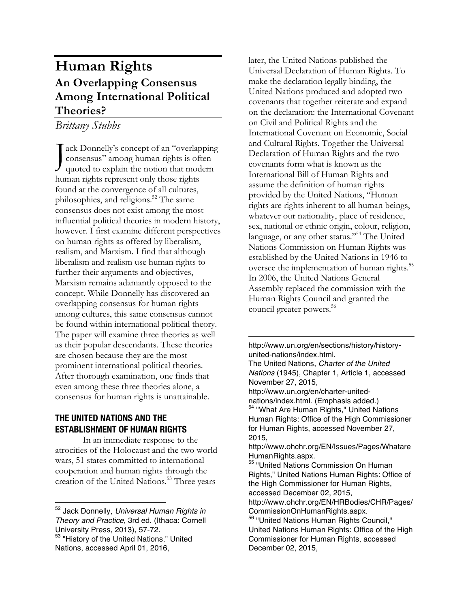# **Human Rights An Overlapping Consensus Among International Political Theories?**

*Brittany Stubbs*

J ack Donnelly's concept of an "overlapping<br>consensus" among human rights is often<br>quoted to explain the notion that modern consensus" among human rights is often quoted to explain the notion that modern human rights represent only those rights found at the convergence of all cultures, philosophies, and religions.<sup>52</sup> The same consensus does not exist among the most influential political theories in modern history, however. I first examine different perspectives on human rights as offered by liberalism, realism, and Marxism. I find that although liberalism and realism use human rights to further their arguments and objectives, Marxism remains adamantly opposed to the concept. While Donnelly has discovered an overlapping consensus for human rights among cultures, this same consensus cannot be found within international political theory. The paper will examine three theories as well as their popular descendants. These theories are chosen because they are the most prominent international political theories. After thorough examination, one finds that even among these three theories alone, a consensus for human rights is unattainable.

# **THE UNITED NATIONS AND THE ESTABLISHMENT OF HUMAN RIGHTS**

In an immediate response to the atrocities of the Holocaust and the two world wars, 51 states committed to international cooperation and human rights through the creation of the United Nations.<sup>53</sup> Three years

 

later, the United Nations published the Universal Declaration of Human Rights. To make the declaration legally binding, the United Nations produced and adopted two covenants that together reiterate and expand on the declaration: the International Covenant on Civil and Political Rights and the International Covenant on Economic, Social and Cultural Rights. Together the Universal Declaration of Human Rights and the two covenants form what is known as the International Bill of Human Rights and assume the definition of human rights provided by the United Nations, "Human rights are rights inherent to all human beings, whatever our nationality, place of residence, sex, national or ethnic origin, colour, religion, language, or any other status."<sup>54</sup> The United Nations Commission on Human Rights was established by the United Nations in 1946 to oversee the implementation of human rights.<sup>55</sup> In 2006, the United Nations General Assembly replaced the commission with the Human Rights Council and granted the council greater powers.<sup>56</sup>

http://www.un.org/en/sections/history/historyunited-nations/index.html. The United Nations, *Charter of the United Nations* (1945), Chapter 1, Article 1, accessed November 27, 2015, http://www.un.org/en/charter-unitednations/index.html. (Emphasis added.) <sup>54</sup> "What Are Human Rights," United Nations Human Rights: Office of the High Commissioner for Human Rights, accessed November 27, 2015,

<u> 1989 - Jan James James Barnett, fransk politik (d. 1989)</u>

http://www.ohchr.org/EN/Issues/Pages/Whatare HumanRights.aspx.

55 "United Nations Commission On Human Rights," United Nations Human Rights: Office of the High Commissioner for Human Rights, accessed December 02, 2015, http://www.ohchr.org/EN/HRBodies/CHR/Pages/ CommissionOnHumanRights.aspx.

<sup>52</sup> Jack Donnelly, *Universal Human Rights in Theory and Practice*, 3rd ed. (Ithaca: Cornell University Press, 2013), 57-72. 53 "History of the United Nations," United

Nations, accessed April 01, 2016,

<sup>56</sup> "United Nations Human Rights Council," United Nations Human Rights: Office of the High Commissioner for Human Rights, accessed December 02, 2015,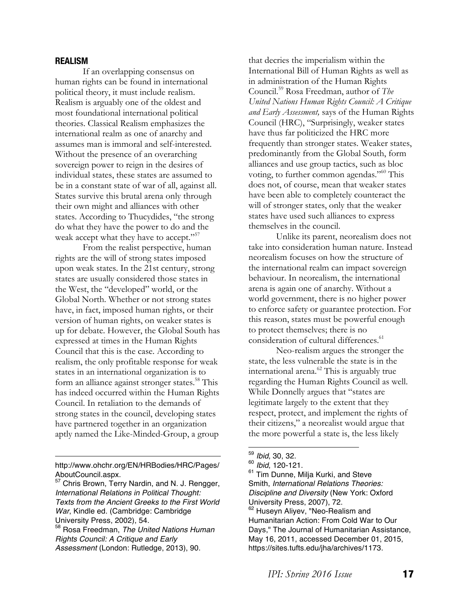#### **REALISM**

If an overlapping consensus on human rights can be found in international political theory, it must include realism. Realism is arguably one of the oldest and most foundational international political theories. Classical Realism emphasizes the international realm as one of anarchy and assumes man is immoral and self-interested. Without the presence of an overarching sovereign power to reign in the desires of individual states, these states are assumed to be in a constant state of war of all, against all. States survive this brutal arena only through their own might and alliances with other states. According to Thucydides, "the strong do what they have the power to do and the weak accept what they have to accept."<sup>57</sup>

From the realist perspective, human rights are the will of strong states imposed upon weak states. In the 21st century, strong states are usually considered those states in the West, the "developed" world, or the Global North. Whether or not strong states have, in fact, imposed human rights, or their version of human rights, on weaker states is up for debate. However, the Global South has expressed at times in the Human Rights Council that this is the case. According to realism, the only profitable response for weak states in an international organization is to form an alliance against stronger states.<sup>58</sup> This has indeed occurred within the Human Rights Council. In retaliation to the demands of strong states in the council, developing states have partnered together in an organization aptly named the Like-Minded-Group, a group

 http://www.ohchr.org/EN/HRBodies/HRC/Pages/ AboutCouncil.aspx.

that decries the imperialism within the International Bill of Human Rights as well as in administration of the Human Rights Council.59 Rosa Freedman, author of *The United Nations Human Rights Council: A Critique and Early Assessment,* says of the Human Rights Council (HRC), "Surprisingly, weaker states have thus far politicized the HRC more frequently than stronger states. Weaker states, predominantly from the Global South, form alliances and use group tactics, such as bloc voting, to further common agendas."<sup>60</sup> This does not, of course, mean that weaker states have been able to completely counteract the will of stronger states, only that the weaker states have used such alliances to express themselves in the council.

Unlike its parent, neorealism does not take into consideration human nature. Instead neorealism focuses on how the structure of the international realm can impact sovereign behaviour. In neorealism, the international arena is again one of anarchy. Without a world government, there is no higher power to enforce safety or guarantee protection. For this reason, states must be powerful enough to protect themselves; there is no consideration of cultural differences.<sup>61</sup>

Neo-realism argues the stronger the state, the less vulnerable the state is in the international arena.<sup>62</sup> This is arguably true regarding the Human Rights Council as well. While Donnelly argues that "states are legitimate largely to the extent that they respect, protect, and implement the rights of their citizens," a neorealist would argue that the more powerful a state is, the less likely

 

<sup>&</sup>lt;sup>57</sup> Chris Brown, Terry Nardin, and N. J. Rengger, *International Relations in Political Thought: Texts from the Ancient Greeks to the First World War*, Kindle ed. (Cambridge: Cambridge University Press, 2002), 54.

<sup>58</sup> Rosa Freedman, *The United Nations Human Rights Council: A Critique and Early Assessment* (London: Rutledge, 2013), 90.

<sup>59</sup> *Ibid*, 30, 32.

<sup>60</sup> *Ibid*, 120-121.

Tim Dunne, Milja Kurki, and Steve Smith, *International Relations Theories: Discipline and Diversity* (New York: Oxford

University Press, 2007), 72.

<sup>&</sup>lt;sup>62</sup> Huseyn Aliyev, "Neo-Realism and Humanitarian Action: From Cold War to Our Days," The Journal of Humanitarian Assistance, May 16, 2011, accessed December 01, 2015, https://sites.tufts.edu/jha/archives/1173.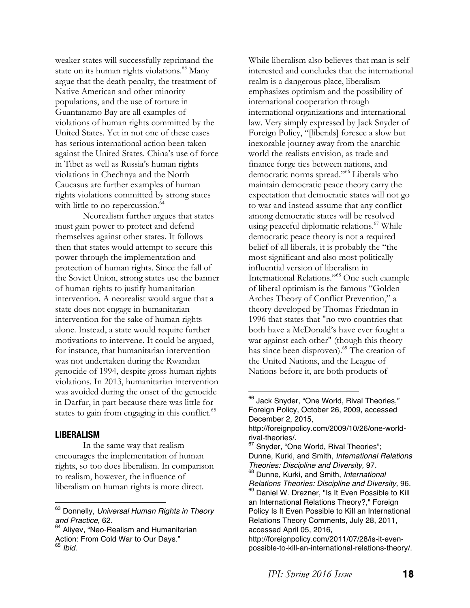weaker states will successfully reprimand the state on its human rights violations.<sup>63</sup> Many argue that the death penalty, the treatment of Native American and other minority populations, and the use of torture in Guantanamo Bay are all examples of violations of human rights committed by the United States. Yet in not one of these cases has serious international action been taken against the United States. China's use of force in Tibet as well as Russia's human rights violations in Chechnya and the North Caucasus are further examples of human rights violations committed by strong states with little to no repercussion.<sup>64</sup>

Neorealism further argues that states must gain power to protect and defend themselves against other states. It follows then that states would attempt to secure this power through the implementation and protection of human rights. Since the fall of the Soviet Union, strong states use the banner of human rights to justify humanitarian intervention. A neorealist would argue that a state does not engage in humanitarian intervention for the sake of human rights alone. Instead, a state would require further motivations to intervene. It could be argued, for instance, that humanitarian intervention was not undertaken during the Rwandan genocide of 1994, despite gross human rights violations. In 2013, humanitarian intervention was avoided during the onset of the genocide in Darfur, in part because there was little for states to gain from engaging in this conflict.<sup>65</sup>

## **LIBERALISM**

In the same way that realism encourages the implementation of human rights, so too does liberalism. In comparison to realism, however, the influence of liberalism on human rights is more direct.

 

While liberalism also believes that man is selfinterested and concludes that the international realm is a dangerous place, liberalism emphasizes optimism and the possibility of international cooperation through international organizations and international law. Very simply expressed by Jack Snyder of Foreign Policy, "[liberals] foresee a slow but inexorable journey away from the anarchic world the realists envision, as trade and finance forge ties between nations, and democratic norms spread."66 Liberals who maintain democratic peace theory carry the expectation that democratic states will not go to war and instead assume that any conflict among democratic states will be resolved using peaceful diplomatic relations.<sup>67</sup> While democratic peace theory is not a required belief of all liberals, it is probably the "the most significant and also most politically influential version of liberalism in International Relations."68 One such example of liberal optimism is the famous "Golden Arches Theory of Conflict Prevention," a theory developed by Thomas Friedman in 1996 that states that "no two countries that both have a McDonald's have ever fought a war against each other" (though this theory has since been disproven).<sup>69</sup> The creation of the United Nations, and the League of Nations before it, are both products of

 

<sup>63</sup> Donnelly, *Universal Human Rights in Theory and Practice*, 62.

<sup>&</sup>lt;sup>64</sup> Aliyev, "Neo-Realism and Humanitarian Action: From Cold War to Our Days." <sup>65</sup> *Ibid*.

<sup>&</sup>lt;sup>66</sup> Jack Snyder, "One World, Rival Theories," Foreign Policy, October 26, 2009, accessed December 2, 2015,

http://foreignpolicy.com/2009/10/26/one-worldrival-theories/.

<sup>&</sup>lt;sup>67</sup> Snyder, "One World, Rival Theories"; Dunne, Kurki, and Smith, *International Relations Theories: Discipline and Diversity,* 97. <sup>68</sup> Dunne, Kurki, and Smith, *International Relations Theories: Discipline and Diversity,* 96. <sup>69</sup> Daniel W. Drezner, "Is It Even Possible to Kill an International Relations Theory?," Foreign

Policy Is It Even Possible to Kill an International Relations Theory Comments, July 28, 2011, accessed April 05, 2016,

http://foreignpolicy.com/2011/07/28/is-it-evenpossible-to-kill-an-international-relations-theory/.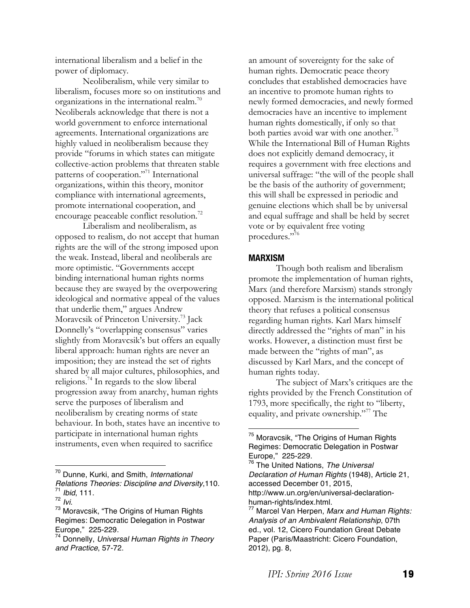international liberalism and a belief in the power of diplomacy.

Neoliberalism, while very similar to liberalism, focuses more so on institutions and organizations in the international realm.70 Neoliberals acknowledge that there is not a world government to enforce international agreements. International organizations are highly valued in neoliberalism because they provide "forums in which states can mitigate collective-action problems that threaten stable patterns of cooperation."71 International organizations, within this theory, monitor compliance with international agreements, promote international cooperation, and encourage peaceable conflict resolution.<sup>72</sup>

Liberalism and neoliberalism, as opposed to realism, do not accept that human rights are the will of the strong imposed upon the weak. Instead, liberal and neoliberals are more optimistic. "Governments accept binding international human rights norms because they are swayed by the overpowering ideological and normative appeal of the values that underlie them," argues Andrew Moravcsik of Princeton University.<sup>73</sup> Jack Donnelly's "overlapping consensus" varies slightly from Moravcsik's but offers an equally liberal approach: human rights are never an imposition; they are instead the set of rights shared by all major cultures, philosophies, and religions.74 In regards to the slow liberal progression away from anarchy, human rights serve the purposes of liberalism and neoliberalism by creating norms of state behaviour. In both, states have an incentive to participate in international human rights instruments, even when required to sacrifice

<sup>70</sup> Dunne, Kurki, and Smith, *International Relations Theories: Discipline and Diversity*,110. <sup>71</sup> *Ibid*, 111.

 

an amount of sovereignty for the sake of human rights. Democratic peace theory concludes that established democracies have an incentive to promote human rights to newly formed democracies, and newly formed democracies have an incentive to implement human rights domestically, if only so that both parties avoid war with one another.<sup>75</sup> While the International Bill of Human Rights does not explicitly demand democracy, it requires a government with free elections and universal suffrage: "the will of the people shall be the basis of the authority of government; this will shall be expressed in periodic and genuine elections which shall be by universal and equal suffrage and shall be held by secret vote or by equivalent free voting procedures."76

## **MARXISM**

Though both realism and liberalism promote the implementation of human rights, Marx (and therefore Marxism) stands strongly opposed. Marxism is the international political theory that refuses a political consensus regarding human rights. Karl Marx himself directly addressed the "rights of man" in his works. However, a distinction must first be made between the "rights of man", as discussed by Karl Marx, and the concept of human rights today.

The subject of Marx's critiques are the rights provided by the French Constitution of 1793, more specifically, the right to "liberty, equality, and private ownership."77 The

 

<sup>72</sup> *Ivi*. <sup>73</sup> Moravcsik, "The Origins of Human Rights Regimes: Democratic Delegation in Postwar Europe," 225-229.

<sup>74</sup> Donnelly, *Universal Human Rights in Theory and Practice*, 57-72.

<sup>&</sup>lt;sup>75</sup> Moravcsik, "The Origins of Human Rights Regimes: Democratic Delegation in Postwar Europe," 225-229.

<sup>76</sup> The United Nations, *The Universal Declaration of Human Rights* (1948), Article 21, accessed December 01, 2015, http://www.un.org/en/universal-declaration-

human-rights/index.html. <sup>77</sup> Marcel Van Herpen, *Marx and Human Rights: Analysis of an Ambivalent Relationship*, 07th ed., vol. 12, Cicero Foundation Great Debate Paper (Paris/Maastricht: Cicero Foundation, 2012), pg. 8,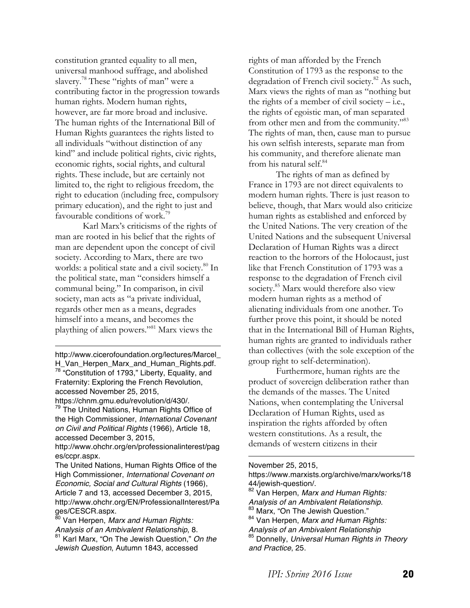constitution granted equality to all men, universal manhood suffrage, and abolished slavery.<sup>78</sup> These "rights of man" were a contributing factor in the progression towards human rights. Modern human rights, however, are far more broad and inclusive. The human rights of the International Bill of Human Rights guarantees the rights listed to all individuals "without distinction of any kind" and include political rights, civic rights, economic rights, social rights, and cultural rights. These include, but are certainly not limited to, the right to religious freedom, the right to education (including free, compulsory primary education), and the right to just and favourable conditions of work.<sup>79</sup>

Karl Marx's criticisms of the rights of man are rooted in his belief that the rights of man are dependent upon the concept of civil society. According to Marx, there are two worlds: a political state and a civil society.<sup>80</sup> In the political state, man "considers himself a communal being." In comparison, in civil society, man acts as "a private individual, regards other men as a means, degrades himself into a means, and becomes the plaything of alien powers."81 Marx views the

http://www.cicerofoundation.org/lectures/Marcel\_ H\_Van\_Herpen\_Marx\_and\_Human\_Rights.pdf. <sup>78</sup> "Constitution of 1793," Liberty, Equality, and Fraternity: Exploring the French Revolution, accessed November 25, 2015, https://chnm.gmu.edu/revolution/d/430/.

 

<sup>79</sup> The United Nations, Human Rights Office of the High Commissioner, *International Covenant on Civil and Political Rights* (1966), Article 18, accessed December 3, 2015,

http://www.ohchr.org/en/professionalinterest/pag es/ccpr.aspx.

The United Nations, Human Rights Office of the High Commissioner, *International Covenant on Economic, Social and Cultural Rights* (1966), Article 7 and 13, accessed December 3, 2015, http://www.ohchr.org/EN/ProfessionalInterest/Pa ges/CESCR.aspx.

<sup>80</sup> Van Herpen, *Marx and Human Rights: Analysis of an Ambivalent Relationship*, 8. <sup>81</sup> Karl Marx, "On The Jewish Question," *On the Jewish Question*, Autumn 1843, accessed

rights of man afforded by the French Constitution of 1793 as the response to the degradation of French civil society.<sup>82</sup> As such, Marx views the rights of man as "nothing but the rights of a member of civil society  $-$  i.e., the rights of egoistic man, of man separated from other men and from the community."83 The rights of man, then, cause man to pursue his own selfish interests, separate man from his community, and therefore alienate man from his natural self. $84$ 

The rights of man as defined by France in 1793 are not direct equivalents to modern human rights. There is just reason to believe, though, that Marx would also criticize human rights as established and enforced by the United Nations. The very creation of the United Nations and the subsequent Universal Declaration of Human Rights was a direct reaction to the horrors of the Holocaust, just like that French Constitution of 1793 was a response to the degradation of French civil society.<sup>85</sup> Marx would therefore also view modern human rights as a method of alienating individuals from one another. To further prove this point, it should be noted that in the International Bill of Human Rights, human rights are granted to individuals rather than collectives (with the sole exception of the group right to self-determination).

Furthermore, human rights are the product of sovereign deliberation rather than the demands of the masses. The United Nations, when contemplating the Universal Declaration of Human Rights, used as inspiration the rights afforded by often western constitutions. As a result, the demands of western citizens in their

#### November 25, 2015,

https://www.marxists.org/archive/marx/works/18 44/jewish-question/.

<u> 1989 - Jan James James Barnett, fransk politik (d. 1989)</u>

- <sup>82</sup> Van Herpen, *Marx and Human Rights:*
- *Analysis of an Ambivalent Relationship*. <sup>83</sup> Marx, "On The Jewish Question."

<sup>84</sup> Van Herpen, *Marx and Human Rights: Analysis of an Ambivalent Relationship*

<sup>85</sup> Donnelly, *Universal Human Rights in Theory and Practice*, 25.